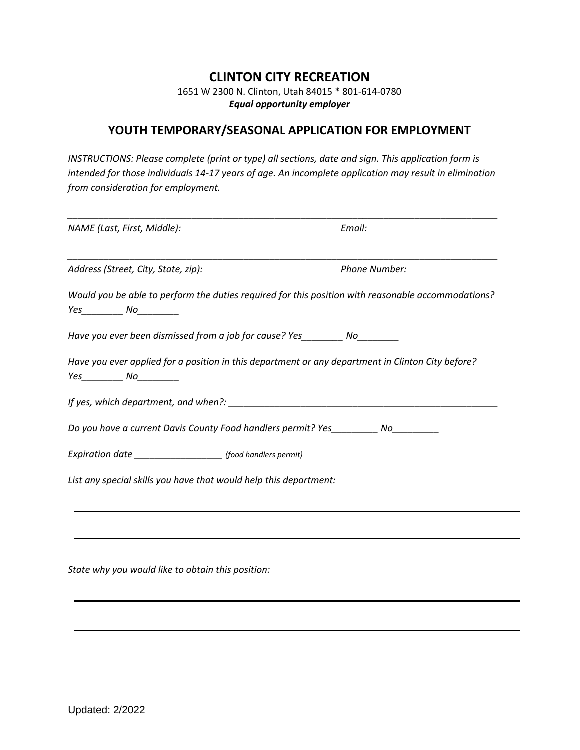# **CLINTON CITY RECREATION**

1651 W 2300 N. Clinton, Utah 84015 \* 801‐614‐0780 *Equal opportunity employer*

# **YOUTH TEMPORARY/SEASONAL APPLICATION FOR EMPLOYMENT**

*INSTRUCTIONS: Please complete (print or type) all sections, date and sign. This application form is intended for those individuals 14-17 years of age. An incomplete application may result in elimination from consideration for employment.* 

| NAME (Last, First, Middle):                                     |                                                                                   | Email:                                                                                             |
|-----------------------------------------------------------------|-----------------------------------------------------------------------------------|----------------------------------------------------------------------------------------------------|
| Address (Street, City, State, zip):                             |                                                                                   | Phone Number:                                                                                      |
| $Yes$ $No$ $No$                                                 |                                                                                   | Would you be able to perform the duties required for this position with reasonable accommodations? |
|                                                                 | Have you ever been dismissed from a job for cause? Yes__________ No_________      |                                                                                                    |
| $Yes$ $No$ $No$                                                 |                                                                                   | Have you ever applied for a position in this department or any department in Clinton City before?  |
|                                                                 |                                                                                   |                                                                                                    |
|                                                                 | Do you have a current Davis County Food handlers permit? Yes_________ No_________ |                                                                                                    |
| Expiration date ________________________ (food handlers permit) |                                                                                   |                                                                                                    |
|                                                                 | List any special skills you have that would help this department:                 |                                                                                                    |
|                                                                 |                                                                                   |                                                                                                    |
|                                                                 |                                                                                   |                                                                                                    |
|                                                                 |                                                                                   |                                                                                                    |
| State why you would like to obtain this position:               |                                                                                   |                                                                                                    |

Updated: 2/2022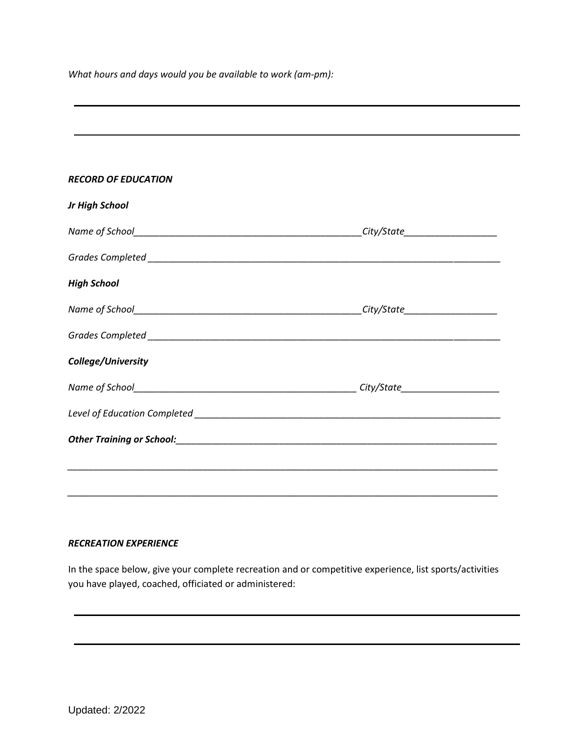*What hours and days would you be available to work (am‐pm):*

# *RECORD OF EDUCATION*

| Jr High School     |  |
|--------------------|--|
|                    |  |
|                    |  |
| <b>High School</b> |  |
|                    |  |
|                    |  |
| College/University |  |
|                    |  |
|                    |  |
|                    |  |
|                    |  |
|                    |  |

# *RECREATION EXPERIENCE*

In the space below, give your complete recreation and or competitive experience, list sports/activities you have played, coached, officiated or administered: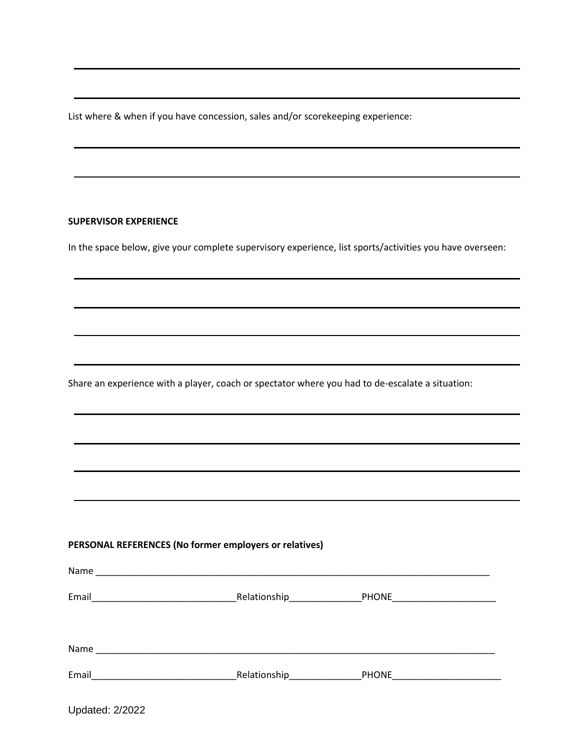List where & when if you have concession, sales and/or scorekeeping experience:

### **SUPERVISOR EXPERIENCE**

Updated: 2/2022

In the space below, give your complete supervisory experience, list sports/activities you have overseen:

Share an experience with a player, coach or spectator where you had to de-escalate a situation:

#### **PERSONAL REFERENCES (No former employers or relatives)**

| Relationship_________ | <b>PHONE</b> |
|-----------------------|--------------|
|                       |              |
|                       |              |
|                       |              |
|                       | <b>PHONE</b> |
|                       |              |
|                       |              |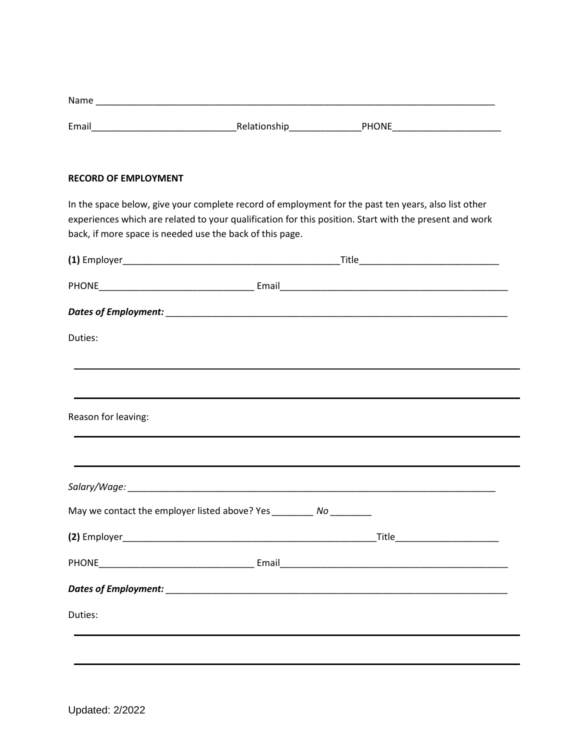| Name  |              |              |  |
|-------|--------------|--------------|--|
|       |              |              |  |
| Email | Relationship | <b>PHONE</b> |  |

#### **RECORD OF EMPLOYMENT**

In the space below, give your complete record of employment for the past ten years, also list other experiences which are related to your qualification for this position. Start with the present and work back, if more space is needed use the back of this page.

| Duties:             |                                                                     |  |
|---------------------|---------------------------------------------------------------------|--|
|                     |                                                                     |  |
|                     |                                                                     |  |
| Reason for leaving: |                                                                     |  |
|                     |                                                                     |  |
|                     |                                                                     |  |
|                     | May we contact the employer listed above? Yes _________ No ________ |  |
|                     |                                                                     |  |
|                     |                                                                     |  |
|                     |                                                                     |  |
| Duties:             |                                                                     |  |
|                     |                                                                     |  |
|                     |                                                                     |  |